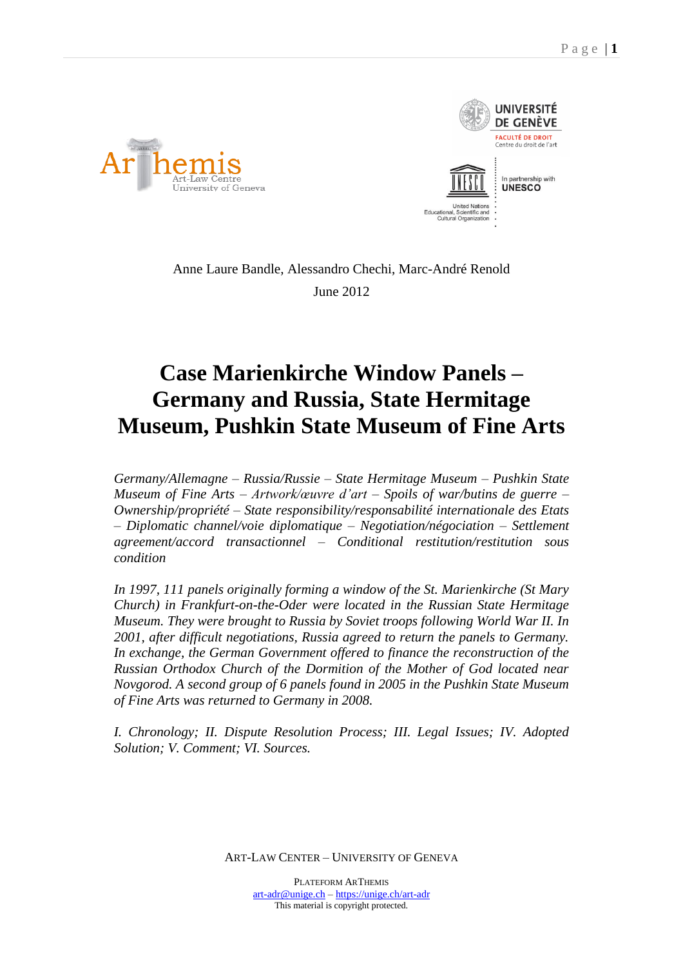



Anne Laure Bandle, Alessandro Chechi, Marc-André Renold June 2012

# **Case Marienkirche Window Panels – Germany and Russia, State Hermitage Museum, Pushkin State Museum of Fine Arts**

*Germany/Allemagne – Russia/Russie – State Hermitage Museum – Pushkin State Museum of Fine Arts – Artwork/œuvre d'art – Spoils of war/butins de guerre – Ownership/propriété – State responsibility/responsabilité internationale des Etats – Diplomatic channel/voie diplomatique – Negotiation/négociation – Settlement agreement/accord transactionnel – Conditional restitution/restitution sous condition*

*In 1997, 111 panels originally forming a window of the St. Marienkirche (St Mary Church) in Frankfurt-on-the-Oder were located in the Russian State Hermitage Museum. They were brought to Russia by Soviet troops following World War II. In 2001, after difficult negotiations, Russia agreed to return the panels to Germany. In exchange, the German Government offered to finance the reconstruction of the Russian Orthodox Church of the Dormition of the Mother of God located near Novgorod. A second group of 6 panels found in 2005 in the Pushkin State Museum of Fine Arts was returned to Germany in 2008.*

*I. Chronology; II. Dispute Resolution Process; III. Legal Issues; IV. Adopted Solution; V. Comment; VI. Sources.*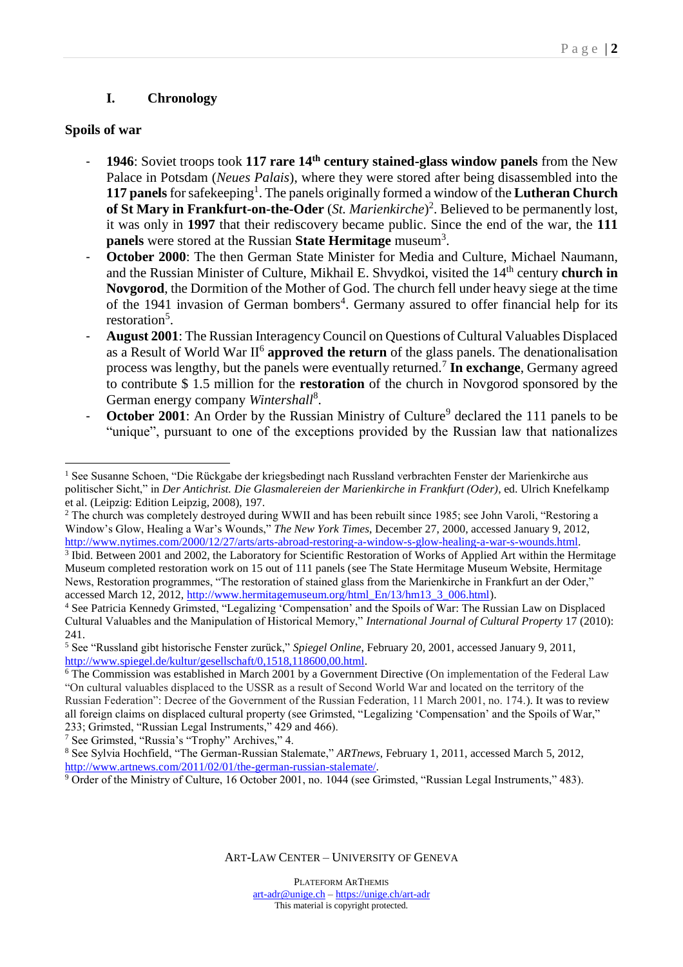### **I. Chronology**

#### **Spoils of war**

 $\overline{a}$ 

- **1946**: Soviet troops took **117 rare 14th century stained-glass window panels** from the New Palace in Potsdam (*Neues Palais*), where they were stored after being disassembled into the **117 panels** for safekeeping<sup>1</sup>. The panels originally formed a window of the **Lutheran Church of St Mary in Frankfurt-on-the-Oder** (*St. Marienkirche*) 2 . Believed to be permanently lost, it was only in **1997** that their rediscovery became public. Since the end of the war, the **111 panels** were stored at the Russian **State Hermitage** museum<sup>3</sup> .
- October 2000: The then German State Minister for Media and Culture, Michael Naumann, and the Russian Minister of Culture, Mikhail E. Shvydkoi, visited the 14<sup>th</sup> century **church in Novgorod**, the Dormition of the Mother of God. The church fell under heavy siege at the time of the 1941 invasion of German bombers<sup>4</sup>. Germany assured to offer financial help for its restoration<sup>5</sup>.
- **August 2001**: The Russian Interagency Council on Questions of Cultural Valuables Displaced as a Result of World War II<sup>6</sup> approved the return of the glass panels. The denationalisation process was lengthy, but the panels were eventually returned.<sup>7</sup> **In exchange**, Germany agreed to contribute \$ 1.5 million for the **restoration** of the church in Novgorod sponsored by the German energy company Wintershall<sup>8</sup>.
- **October 2001**: An Order by the Russian Ministry of Culture<sup>9</sup> declared the 111 panels to be "unique", pursuant to one of the exceptions provided by the Russian law that nationalizes

<sup>7</sup> See Grimsted, "Russia's "Trophy" Archives," 4.

<sup>1</sup> See Susanne Schoen, "Die Rückgabe der kriegsbedingt nach Russland verbrachten Fenster der Marienkirche aus politischer Sicht," in *Der Antichrist. Die Glasmalereien der Marienkirche in Frankfurt (Oder)*, ed. Ulrich Knefelkamp et al. (Leipzig: Edition Leipzig, 2008), 197.

<sup>&</sup>lt;sup>2</sup> The church was completely destroyed during WWII and has been rebuilt since 1985; see John Varoli, "Restoring a Window's Glow, Healing a War's Wounds," *The New York Times*, December 27, 2000, accessed January 9, 2012, [http://www.nytimes.com/2000/12/27/arts/arts-abroad-restoring-a-window-s-glow-healing-a-war-s-wounds.html.](http://www.nytimes.com/2000/12/27/arts/arts-abroad-restoring-a-window-s-glow-healing-a-war-s-wounds.html)

<sup>&</sup>lt;sup>3</sup> Ibid. Between 2001 and 2002, the Laboratory for Scientific Restoration of Works of Applied Art within the Hermitage Museum completed restoration work on 15 out of 111 panels (see The State Hermitage Museum Website, Hermitage News, Restoration programmes, "The restoration of stained glass from the Marienkirche in Frankfurt an der Oder," accessed March 12, 2012, [http://www.hermitagemuseum.org/html\\_En/13/hm13\\_3\\_006.html\)](http://www.hermitagemuseum.org/html_En/13/hm13_3_006.html).

<sup>4</sup> See Patricia Kennedy Grimsted, "Legalizing 'Compensation' and the Spoils of War: The Russian Law on Displaced Cultural Valuables and the Manipulation of Historical Memory," *International Journal of Cultural Property* 17 (2010): 241.

<sup>5</sup> See "Russland gibt historische Fenster zurück," *Spiegel Online*, February 20, 2001, accessed January 9, 2011, [http://www.spiegel.de/kultur/gesellschaft/0,1518,118600,00.html.](http://www.spiegel.de/kultur/gesellschaft/0,1518,118600,00.html)

 $\frac{6}{6}$  The Commission was established in March 2001 by a Government Directive (On implementation of the Federal Law "On cultural valuables displaced to the USSR as a result of Second World War and located on the territory of the Russian Federation": Decree of the Government of the Russian Federation, 11 March 2001, no. 174.). It was to review all foreign claims on displaced cultural property (see Grimsted, "Legalizing 'Compensation' and the Spoils of War," 233; Grimsted, "Russian Legal Instruments," 429 and 466).

<sup>8</sup> See Sylvia Hochfield, "The German-Russian Stalemate," *ARTnews*, February 1, 2011, accessed March 5, 2012, [http://www.artnews.com/2011/02/01/the-german-russian-stalemate/.](http://www.artnews.com/2011/02/01/the-german-russian-stalemate/)

<sup>9</sup> Order of the Ministry of Culture, 16 October 2001, no. 1044 (see Grimsted, "Russian Legal Instruments," 483).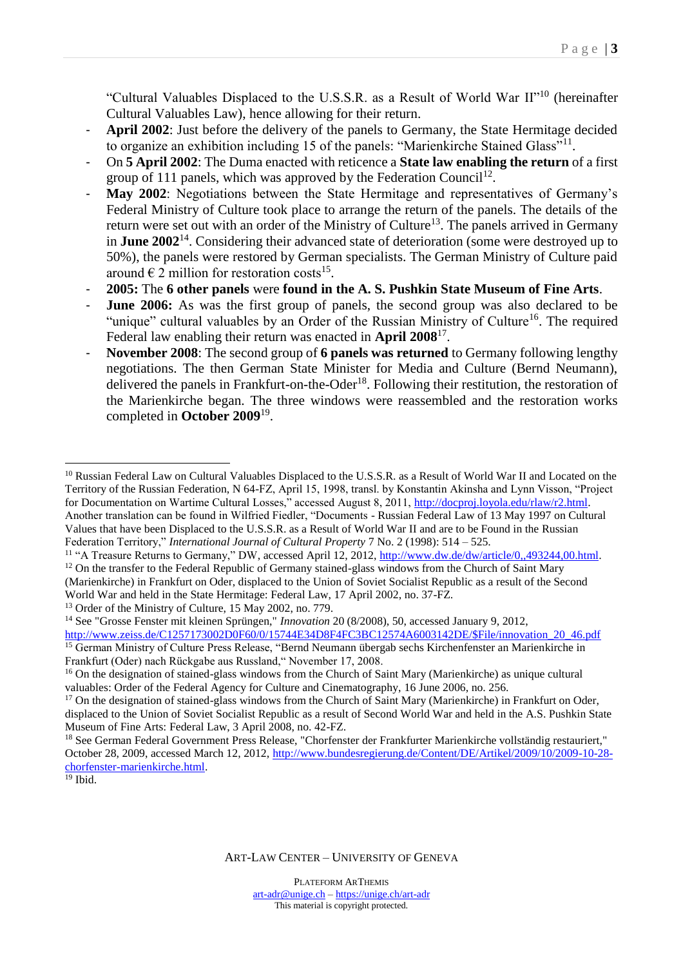"Cultural Valuables Displaced to the U.S.S.R. as a Result of World War II"<sup>10</sup> (hereinafter Cultural Valuables Law), hence allowing for their return.

- April 2002: Just before the delivery of the panels to Germany, the State Hermitage decided to organize an exhibition including 15 of the panels: "Marienkirche Stained Glass"<sup>11</sup>.
- On **5 April 2002**: The Duma enacted with reticence a **State law enabling the return** of a first group of 111 panels, which was approved by the Federation Council<sup>12</sup>.
- May 2002: Negotiations between the State Hermitage and representatives of Germany's Federal Ministry of Culture took place to arrange the return of the panels. The details of the return were set out with an order of the Ministry of Culture<sup>13</sup>. The panels arrived in Germany in **June 2002**<sup>14</sup>. Considering their advanced state of deterioration (some were destroyed up to 50%), the panels were restored by German specialists. The German Ministry of Culture paid around  $\epsilon$  2 million for restoration costs<sup>15</sup>.
- **2005:** The **6 other panels** were **found in the A. S. Pushkin State Museum of Fine Arts**.
- **June 2006:** As was the first group of panels, the second group was also declared to be "unique" cultural valuables by an Order of the Russian Ministry of Culture<sup>16</sup>. The required Federal law enabling their return was enacted in **April 2008**<sup>17</sup> .
- **November 2008**: The second group of **6 panels was returned** to Germany following lengthy negotiations. The then German State Minister for Media and Culture (Bernd Neumann), delivered the panels in Frankfurt-on-the-Oder<sup>18</sup>. Following their restitution, the restoration of the Marienkirche began. The three windows were reassembled and the restoration works completed in **October 2009**<sup>19</sup> .

<sup>13</sup> Order of the Ministry of Culture, 15 May 2002, no. 779.

<sup>14</sup> See "Grosse Fenster mit kleinen Sprüngen," *Innovation* 20 (8/2008), 50, accessed January 9, 2012,

 $19$  Ibid.

 $\overline{a}$ 

<sup>&</sup>lt;sup>10</sup> Russian Federal Law on Cultural Valuables Displaced to the U.S.S.R. as a Result of World War II and Located on the Territory of the Russian Federation, N 64-FZ, April 15, 1998, transl. by Konstantin Akinsha and Lynn Visson, "Project for Documentation on Wartime Cultural Losses," accessed August 8, 2011, [http://docproj.loyola.edu/rlaw/r2.html.](http://docproj.loyola.edu/rlaw/r2.html) Another translation can be found in Wilfried Fiedler, "Documents - Russian Federal Law of 13 May 1997 on Cultural Values that have been Displaced to the U.S.S.R. as a Result of World War II and are to be Found in the Russian Federation Territory," *International Journal of Cultural Property* 7 No. 2 (1998): 514 – 525.

<sup>&</sup>lt;sup>11</sup> "A Treasure Returns to Germany," DW, accessed April 12, 2012[, http://www.dw.de/dw/article/0,,493244,00.html.](http://www.dw.de/dw/article/0,,493244,00.html)

 $12$  On the transfer to the Federal Republic of Germany stained-glass windows from the Church of Saint Mary (Marienkirche) in Frankfurt on Oder, displaced to the Union of Soviet Socialist Republic as a result of the Second World War and held in the State Hermitage: Federal Law, 17 April 2002, no. 37-FZ.

[http://www.zeiss.de/C1257173002D0F60/0/15744E34D8F4FC3BC12574A6003142DE/\\$File/innovation\\_20\\_46.pdf](http://www.zeiss.de/C1257173002D0F60/0/15744E34D8F4FC3BC12574A6003142DE/$File/innovation_20_46.pdf) <sup>15</sup> German Ministry of Culture Press Release, "Bernd Neumann übergab sechs Kirchenfenster an Marienkirche in Frankfurt (Oder) nach Rückgabe aus Russland," November 17, 2008.

<sup>&</sup>lt;sup>16</sup> On the designation of stained-glass windows from the Church of Saint Mary (Marienkirche) as unique cultural valuables: Order of the Federal Agency for Culture and Cinematography, 16 June 2006, no. 256.

<sup>&</sup>lt;sup>17</sup> On the designation of stained-glass windows from the Church of Saint Mary (Marienkirche) in Frankfurt on Oder, displaced to the Union of Soviet Socialist Republic as a result of Second World War and held in the A.S. Pushkin State Museum of Fine Arts: Federal Law, 3 April 2008, no. 42-FZ.

<sup>&</sup>lt;sup>18</sup> See German Federal Government Press Release, "Chorfenster der Frankfurter Marienkirche vollständig restauriert," October 28, 2009, accessed March 12, 2012, [http://www.bundesregierung.de/Content/DE/Artikel/2009/10/2009-10-28](http://www.bundesregierung.de/Content/DE/Artikel/2009/10/2009-10-28-chorfenster-marienkirche.html) [chorfenster-marienkirche.html.](http://www.bundesregierung.de/Content/DE/Artikel/2009/10/2009-10-28-chorfenster-marienkirche.html)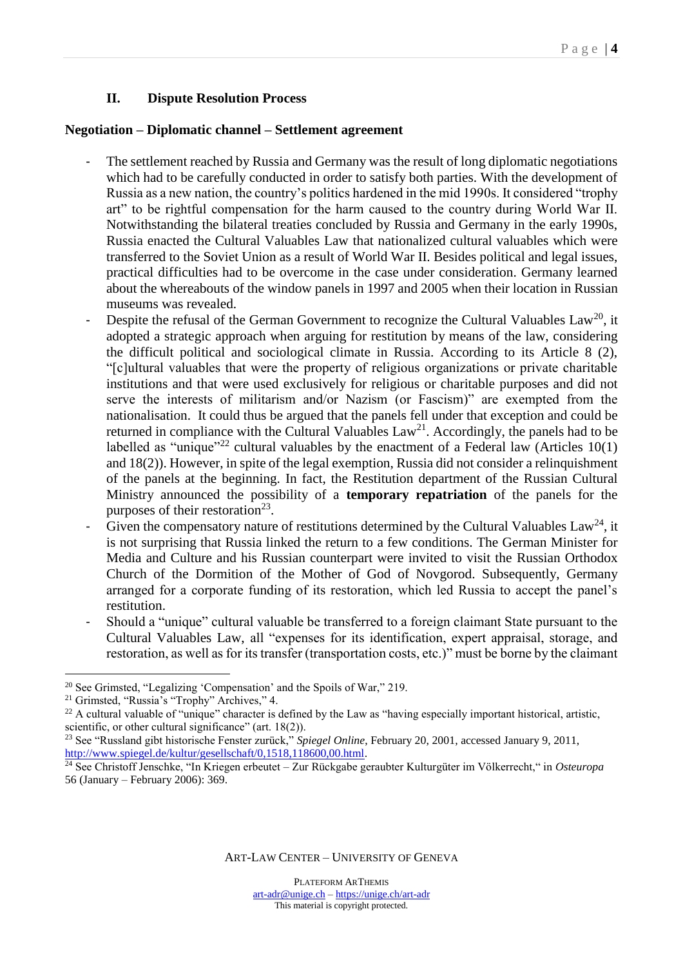#### **II. Dispute Resolution Process**

#### **Negotiation – Diplomatic channel – Settlement agreement**

- The settlement reached by Russia and Germany was the result of long diplomatic negotiations which had to be carefully conducted in order to satisfy both parties. With the development of Russia as a new nation, the country's politics hardened in the mid 1990s. It considered "trophy art" to be rightful compensation for the harm caused to the country during World War II. Notwithstanding the bilateral treaties concluded by Russia and Germany in the early 1990s, Russia enacted the Cultural Valuables Law that nationalized cultural valuables which were transferred to the Soviet Union as a result of World War II. Besides political and legal issues, practical difficulties had to be overcome in the case under consideration. Germany learned about the whereabouts of the window panels in 1997 and 2005 when their location in Russian museums was revealed.
- Despite the refusal of the German Government to recognize the Cultural Valuables  $Law^{20}$ , it adopted a strategic approach when arguing for restitution by means of the law, considering the difficult political and sociological climate in Russia. According to its Article 8 (2), "[c]ultural valuables that were the property of religious organizations or private charitable institutions and that were used exclusively for religious or charitable purposes and did not serve the interests of militarism and/or Nazism (or Fascism)" are exempted from the nationalisation. It could thus be argued that the panels fell under that exception and could be returned in compliance with the Cultural Valuables  $Law<sup>21</sup>$ . Accordingly, the panels had to be labelled as "unique"<sup>22</sup> cultural valuables by the enactment of a Federal law (Articles  $10(1)$ ) and 18(2)). However, in spite of the legal exemption, Russia did not consider a relinquishment of the panels at the beginning. In fact, the Restitution department of the Russian Cultural Ministry announced the possibility of a **temporary repatriation** of the panels for the purposes of their restoration<sup>23</sup>.
- Given the compensatory nature of restitutions determined by the Cultural Valuables  $Law^{24}$ , it is not surprising that Russia linked the return to a few conditions. The German Minister for Media and Culture and his Russian counterpart were invited to visit the Russian Orthodox Church of the Dormition of the Mother of God of Novgorod. Subsequently, Germany arranged for a corporate funding of its restoration, which led Russia to accept the panel's restitution.
- Should a "unique" cultural valuable be transferred to a foreign claimant State pursuant to the Cultural Valuables Law, all "expenses for its identification, expert appraisal, storage, and restoration, as well as for its transfer (transportation costs, etc.)" must be borne by the claimant

 $\overline{a}$ 

<sup>20</sup> See Grimsted, "Legalizing 'Compensation' and the Spoils of War," 219.

<sup>21</sup> Grimsted, "Russia's "Trophy" Archives," 4.

 $22$  A cultural valuable of "unique" character is defined by the Law as "having especially important historical, artistic, scientific, or other cultural significance" (art. 18(2)).

<sup>23</sup> See "Russland gibt historische Fenster zurück," *Spiegel Online*, February 20, 2001, accessed January 9, 2011, [http://www.spiegel.de/kultur/gesellschaft/0,1518,118600,00.html.](http://www.spiegel.de/kultur/gesellschaft/0,1518,118600,00.html)

<sup>24</sup> See Christoff Jenschke, "In Kriegen erbeutet – Zur Rückgabe geraubter Kulturgüter im Völkerrecht," in *Osteuropa* 56 (January – February 2006): 369.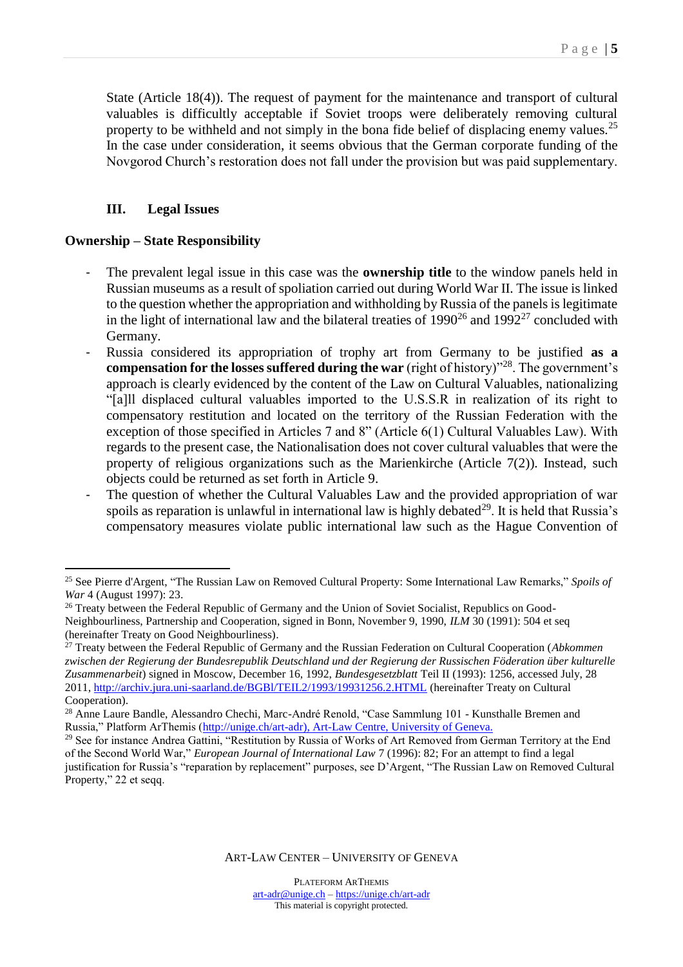State (Article 18(4)). The request of payment for the maintenance and transport of cultural valuables is difficultly acceptable if Soviet troops were deliberately removing cultural property to be withheld and not simply in the bona fide belief of displacing enemy values.<sup>25</sup> In the case under consideration, it seems obvious that the German corporate funding of the Novgorod Church's restoration does not fall under the provision but was paid supplementary.

## **III. Legal Issues**

#### **Ownership – State Responsibility**

 $\overline{a}$ 

- The prevalent legal issue in this case was the **ownership title** to the window panels held in Russian museums as a result of spoliation carried out during World War II. The issue is linked to the question whether the appropriation and withholding by Russia of the panels is legitimate in the light of international law and the bilateral treaties of  $1990^{26}$  and  $1992^{27}$  concluded with Germany.
- Russia considered its appropriation of trophy art from Germany to be justified **as a compensation for the losses suffered during the war** (right of history)<sup>"28</sup>. The government's approach is clearly evidenced by the content of the Law on Cultural Valuables, nationalizing "[a]ll displaced cultural valuables imported to the U.S.S.R in realization of its right to compensatory restitution and located on the territory of the Russian Federation with the exception of those specified in Articles 7 and 8" (Article 6(1) Cultural Valuables Law). With regards to the present case, the Nationalisation does not cover cultural valuables that were the property of religious organizations such as the Marienkirche (Article 7(2)). Instead, such objects could be returned as set forth in Article 9.
- The question of whether the Cultural Valuables Law and the provided appropriation of war spoils as reparation is unlawful in international law is highly debated<sup>29</sup>. It is held that Russia's compensatory measures violate public international law such as the Hague Convention of

<sup>25</sup> See Pierre d'Argent, "The Russian Law on Removed Cultural Property: Some International Law Remarks," *Spoils of War* 4 (August 1997): 23.

<sup>&</sup>lt;sup>26</sup> Treaty between the Federal Republic of Germany and the Union of Soviet Socialist, Republics on Good-Neighbourliness, Partnership and Cooperation, signed in Bonn, November 9, 1990, *ILM* 30 (1991): 504 et seq (hereinafter Treaty on Good Neighbourliness).

<sup>27</sup> Treaty between the Federal Republic of Germany and the Russian Federation on Cultural Cooperation (*Abkommen zwischen der Regierung der Bundesrepublik Deutschland und der Regierung der Russischen Föderation über kulturelle Zusammenarbeit*) signed in Moscow, December 16, 1992, *Bundesgesetzblatt* Teil II (1993): 1256, accessed July, 28 2011, <http://archiv.jura.uni-saarland.de/BGBl/TEIL2/1993/19931256.2.HTML> (hereinafter Treaty on Cultural Cooperation).

<sup>&</sup>lt;sup>28</sup> Anne Laure Bandle, Alessandro Chechi, Marc-André Renold, "Case Sammlung 101 - Kunsthalle Bremen and Russia," Platform ArThemis [\(http://unige.ch/art-adr\)](http://unige.ch/art-adr), Art-Law Centre, University of Geneva.

<sup>&</sup>lt;sup>29</sup> See for instance Andrea Gattini, "Restitution by Russia of Works of Art Removed from German Territory at the End of the Second World War," *European Journal of International Law* 7 (1996): 82; For an attempt to find a legal justification for Russia's "reparation by replacement" purposes, see D'Argent, "The Russian Law on Removed Cultural Property," 22 et seqq.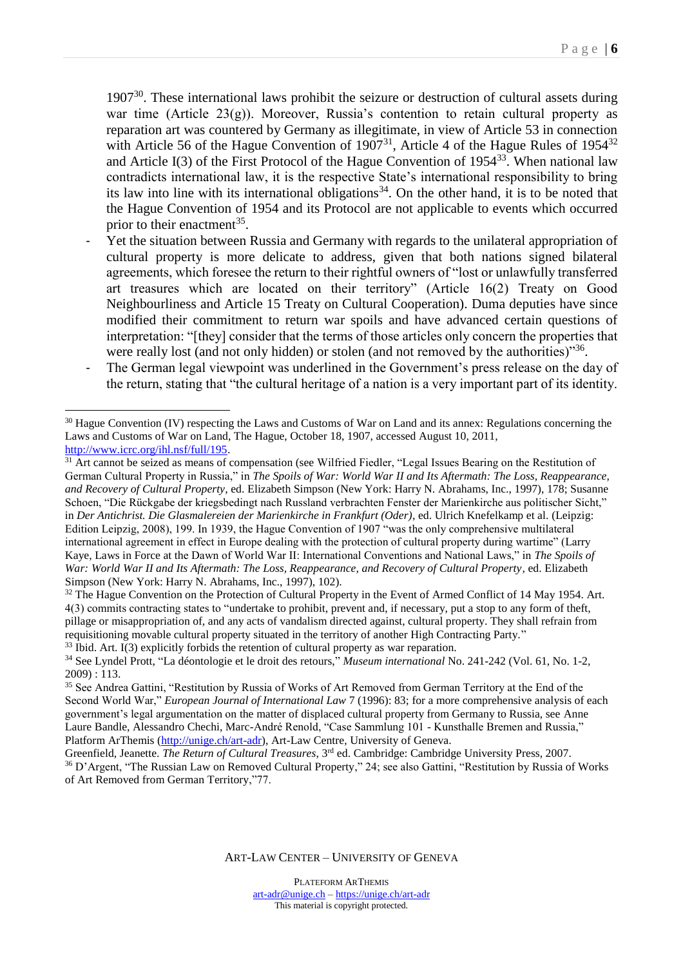$1907<sup>30</sup>$ . These international laws prohibit the seizure or destruction of cultural assets during war time (Article 23(g)). Moreover, Russia's contention to retain cultural property as reparation art was countered by Germany as illegitimate, in view of Article 53 in connection with Article 56 of the Hague Convention of  $1907<sup>31</sup>$ , Article 4 of the Hague Rules of  $1954<sup>32</sup>$ and Article I(3) of the First Protocol of the Hague Convention of  $1954^{33}$ . When national law contradicts international law, it is the respective State's international responsibility to bring its law into line with its international obligations<sup>34</sup>. On the other hand, it is to be noted that the Hague Convention of 1954 and its Protocol are not applicable to events which occurred prior to their enactment<sup>35</sup>.

- Yet the situation between Russia and Germany with regards to the unilateral appropriation of cultural property is more delicate to address, given that both nations signed bilateral agreements, which foresee the return to their rightful owners of "lost or unlawfully transferred art treasures which are located on their territory" (Article 16(2) Treaty on Good Neighbourliness and Article 15 Treaty on Cultural Cooperation). Duma deputies have since modified their commitment to return war spoils and have advanced certain questions of interpretation: "[they] consider that the terms of those articles only concern the properties that were really lost (and not only hidden) or stolen (and not removed by the authorities)"<sup>36</sup>.
- The German legal viewpoint was underlined in the Government's press release on the day of the return, stating that "the cultural heritage of a nation is a very important part of its identity.

 $\overline{a}$ 

<sup>&</sup>lt;sup>30</sup> Hague Convention (IV) respecting the Laws and Customs of War on Land and its annex: Regulations concerning the Laws and Customs of War on Land, The Hague, October 18, 1907, accessed August 10, 2011, [http://www.icrc.org/ihl.nsf/full/195.](http://www.icrc.org/ihl.nsf/full/195)

<sup>&</sup>lt;sup>31</sup> Art cannot be seized as means of compensation (see Wilfried Fiedler, "Legal Issues Bearing on the Restitution of German Cultural Property in Russia," in *The Spoils of War: World War II and Its Aftermath: The Loss, Reappearance, and Recovery of Cultural Property*, ed. Elizabeth Simpson (New York: Harry N. Abrahams, Inc., 1997), 178; Susanne Schoen, "Die Rückgabe der kriegsbedingt nach Russland verbrachten Fenster der Marienkirche aus politischer Sicht," in *Der Antichrist. Die Glasmalereien der Marienkirche in Frankfurt (Oder)*, ed. Ulrich Knefelkamp et al. (Leipzig: Edition Leipzig, 2008), 199. In 1939, the Hague Convention of 1907 "was the only comprehensive multilateral international agreement in effect in Europe dealing with the protection of cultural property during wartime" (Larry Kaye, Laws in Force at the Dawn of World War II: International Conventions and National Laws," in *The Spoils of War: World War II and Its Aftermath: The Loss, Reappearance, and Recovery of Cultural Property*, ed. Elizabeth Simpson (New York: Harry N. Abrahams, Inc., 1997), 102).

<sup>&</sup>lt;sup>32</sup> The Hague Convention on the Protection of Cultural Property in the Event of Armed Conflict of 14 May 1954. Art. 4(3) commits contracting states to "undertake to prohibit, prevent and, if necessary, put a stop to any form of theft, pillage or misappropriation of, and any acts of vandalism directed against, cultural property. They shall refrain from requisitioning movable cultural property situated in the territory of another High Contracting Party."

 $33$  Ibid. Art. I(3) explicitly forbids the retention of cultural property as war reparation.

<sup>34</sup> See Lyndel Prott, "La déontologie et le droit des retours," *Museum international* No. 241-242 (Vol. 61, No. 1-2, 2009) : 113.

<sup>35</sup> See Andrea Gattini, "Restitution by Russia of Works of Art Removed from German Territory at the End of the Second World War," *European Journal of International Law* 7 (1996): 83; for a more comprehensive analysis of each government's legal argumentation on the matter of displaced cultural property from Germany to Russia, see Anne Laure Bandle, Alessandro Chechi, Marc-André Renold, "Case Sammlung 101 - Kunsthalle Bremen and Russia," Platform ArThemis [\(http://unige.ch/art-adr\)](http://unige.ch/art-adr), Art-Law Centre, University of Geneva.

Greenfield, Jeanette. *The Return of Cultural Treasures*, 3rd ed. Cambridge: Cambridge University Press, 2007. <sup>36</sup> D'Argent, "The Russian Law on Removed Cultural Property," 24; see also Gattini, "Restitution by Russia of Works of Art Removed from German Territory,"77.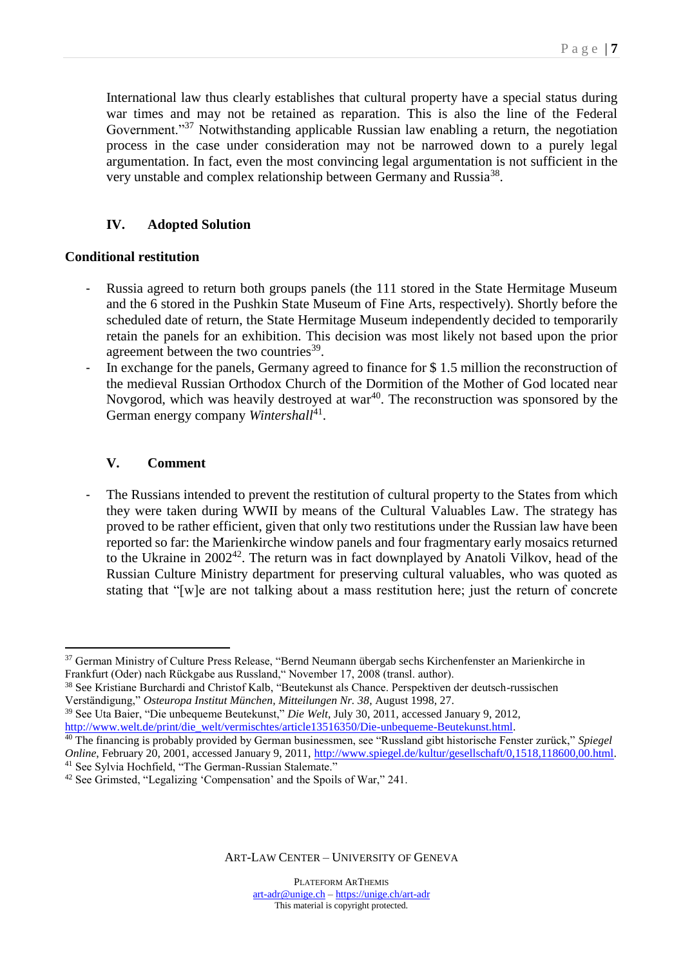International law thus clearly establishes that cultural property have a special status during war times and may not be retained as reparation. This is also the line of the Federal Government."<sup>37</sup> Notwithstanding applicable Russian law enabling a return, the negotiation process in the case under consideration may not be narrowed down to a purely legal argumentation. In fact, even the most convincing legal argumentation is not sufficient in the very unstable and complex relationship between Germany and Russia<sup>38</sup>.

## **IV. Adopted Solution**

### **Conditional restitution**

- Russia agreed to return both groups panels (the 111 stored in the State Hermitage Museum and the 6 stored in the Pushkin State Museum of Fine Arts, respectively). Shortly before the scheduled date of return, the State Hermitage Museum independently decided to temporarily retain the panels for an exhibition. This decision was most likely not based upon the prior agreement between the two countries<sup>39</sup>.
- In exchange for the panels, Germany agreed to finance for \$1.5 million the reconstruction of the medieval Russian Orthodox Church of the Dormition of the Mother of God located near Novgorod, which was heavily destroyed at war $40$ . The reconstruction was sponsored by the German energy company Wintershall<sup>41</sup>.

### **V. Comment**

 $\overline{a}$ 

- The Russians intended to prevent the restitution of cultural property to the States from which they were taken during WWII by means of the Cultural Valuables Law. The strategy has proved to be rather efficient, given that only two restitutions under the Russian law have been reported so far: the Marienkirche window panels and four fragmentary early mosaics returned to the Ukraine in 2002<sup>42</sup>. The return was in fact downplayed by Anatoli Vilkov, head of the Russian Culture Ministry department for preserving cultural valuables, who was quoted as stating that "[w]e are not talking about a mass restitution here; just the return of concrete

<sup>&</sup>lt;sup>37</sup> German Ministry of Culture Press Release, "Bernd Neumann übergab sechs Kirchenfenster an Marienkirche in Frankfurt (Oder) nach Rückgabe aus Russland," November 17, 2008 (transl. author).

<sup>38</sup> See Kristiane Burchardi and Christof Kalb, "Beutekunst als Chance. Perspektiven der deutsch-russischen Verständigung," *Osteuropa Institut München, Mitteilungen Nr. 38*, August 1998, 27.

<sup>39</sup> See Uta Baier, "Die unbequeme Beutekunst," *Die Welt*, July 30, 2011, accessed January 9, 2012, [http://www.welt.de/print/die\\_welt/vermischtes/article13516350/Die-unbequeme-Beutekunst.html.](http://www.welt.de/print/die_welt/vermischtes/article13516350/Die-unbequeme-Beutekunst.html)

<sup>40</sup> The financing is probably provided by German businessmen, see "Russland gibt historische Fenster zurück," *Spiegel Online*, February 20, 2001, accessed January 9, 2011, [http://www.spiegel.de/kultur/gesellschaft/0,1518,118600,00.html.](http://www.spiegel.de/kultur/gesellschaft/0,1518,118600,00.html) <sup>41</sup> See Sylvia Hochfield, "The German-Russian Stalemate."

<sup>&</sup>lt;sup>42</sup> See Grimsted, "Legalizing 'Compensation' and the Spoils of War," 241.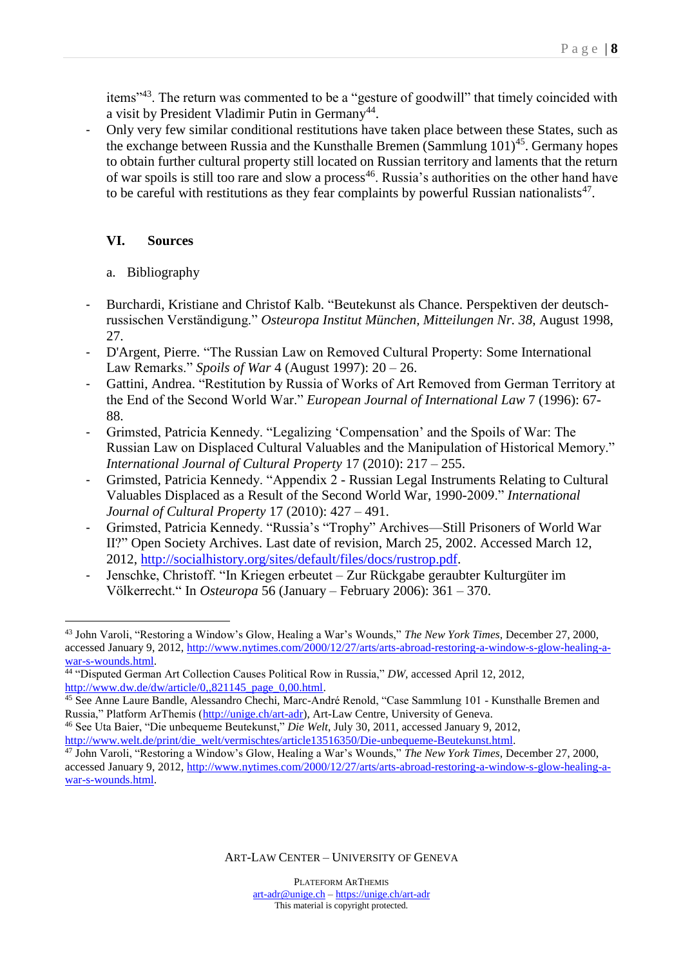items"<sup>43</sup>. The return was commented to be a "gesture of goodwill" that timely coincided with a visit by President Vladimir Putin in Germany<sup>44</sup>.

- Only very few similar conditional restitutions have taken place between these States, such as the exchange between Russia and the Kunsthalle Bremen (Sammlung  $101<sup>45</sup>$ . Germany hopes to obtain further cultural property still located on Russian territory and laments that the return of war spoils is still too rare and slow a process<sup>46</sup>. Russia's authorities on the other hand have to be careful with restitutions as they fear complaints by powerful Russian nationalists<sup>47</sup>.

### **VI. Sources**

#### a. Bibliography

- Burchardi, Kristiane and Christof Kalb. "Beutekunst als Chance. Perspektiven der deutschrussischen Verständigung." *Osteuropa Institut München, Mitteilungen Nr. 38*, August 1998, 27.
- D'Argent, Pierre. "The Russian Law on Removed Cultural Property: Some International Law Remarks." *Spoils of War* 4 (August 1997): 20 – 26.
- Gattini, Andrea. "Restitution by Russia of Works of Art Removed from German Territory at the End of the Second World War." *European Journal of International Law* 7 (1996): 67- 88.
- Grimsted, Patricia Kennedy. "Legalizing 'Compensation' and the Spoils of War: The Russian Law on Displaced Cultural Valuables and the Manipulation of Historical Memory." *International Journal of Cultural Property* 17 (2010): 217 – 255.
- Grimsted, Patricia Kennedy. "Appendix 2 Russian Legal Instruments Relating to Cultural Valuables Displaced as a Result of the Second World War, 1990-2009." *International Journal of Cultural Property* 17 (2010): 427 – 491.
- Grimsted, Patricia Kennedy. "Russia's "Trophy" Archives—Still Prisoners of World War II?" Open Society Archives. Last date of revision, March 25, 2002. Accessed March 12, 2012, [http://socialhistory.org/sites/default/files/docs/rustrop.pdf.](http://socialhistory.org/sites/default/files/docs/rustrop.pdf)
- Jenschke, Christoff. "In Kriegen erbeutet Zur Rückgabe geraubter Kulturgüter im Völkerrecht." In *Osteuropa* 56 (January – February 2006): 361 – 370.

 $\overline{a}$ <sup>43</sup> John Varoli, "Restoring a Window's Glow, Healing a War's Wounds," *The New York Times*, December 27, 2000, accessed January 9, 2012, [http://www.nytimes.com/2000/12/27/arts/arts-abroad-restoring-a-window-s-glow-healing-a](http://www.nytimes.com/2000/12/27/arts/arts-abroad-restoring-a-window-s-glow-healing-a-war-s-wounds.html)[war-s-wounds.html.](http://www.nytimes.com/2000/12/27/arts/arts-abroad-restoring-a-window-s-glow-healing-a-war-s-wounds.html)

<sup>44</sup> "Disputed German Art Collection Causes Political Row in Russia," *DW*, accessed April 12, 2012, [http://www.dw.de/dw/article/0,,821145\\_page\\_0,00.html.](http://www.dw.de/dw/article/0,,821145_page_0,00.html)

<sup>&</sup>lt;sup>45</sup> See Anne Laure Bandle, Alessandro Chechi, Marc-André Renold, "Case Sammlung 101 - Kunsthalle Bremen and Russia," Platform ArThemis [\(http://unige.ch/art-adr\)](http://unige.ch/art-adr), Art-Law Centre, University of Geneva.

<sup>46</sup> See Uta Baier, "Die unbequeme Beutekunst," *Die Welt*, July 30, 2011, accessed January 9, 2012, [http://www.welt.de/print/die\\_welt/vermischtes/article13516350/Die-unbequeme-Beutekunst.html.](http://www.welt.de/print/die_welt/vermischtes/article13516350/Die-unbequeme-Beutekunst.html)

<sup>47</sup> John Varoli, "Restoring a Window's Glow, Healing a War's Wounds," *The New York Times*, December 27, 2000, accessed January 9, 2012, [http://www.nytimes.com/2000/12/27/arts/arts-abroad-restoring-a-window-s-glow-healing-a](http://www.nytimes.com/2000/12/27/arts/arts-abroad-restoring-a-window-s-glow-healing-a-war-s-wounds.html)[war-s-wounds.html.](http://www.nytimes.com/2000/12/27/arts/arts-abroad-restoring-a-window-s-glow-healing-a-war-s-wounds.html)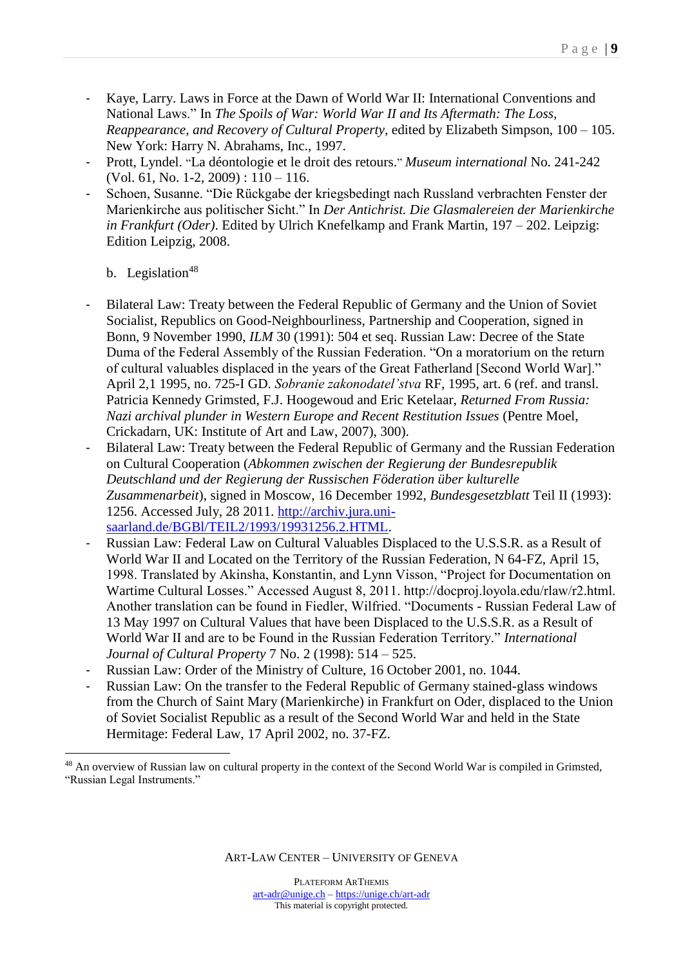- Kaye, Larry. Laws in Force at the Dawn of World War II: International Conventions and National Laws." In *The Spoils of War: World War II and Its Aftermath: The Loss, Reappearance, and Recovery of Cultural Property*, edited by Elizabeth Simpson, 100 – 105. New York: Harry N. Abrahams, Inc., 1997.
- Prott, Lyndel. "La déontologie et le droit des retours." *Museum international* No. 241-242  $(Vol. 61, No. 1-2, 2009): 110-116.$
- Schoen, Susanne. "Die Rückgabe der kriegsbedingt nach Russland verbrachten Fenster der Marienkirche aus politischer Sicht." In *Der Antichrist. Die Glasmalereien der Marienkirche in Frankfurt (Oder)*. Edited by Ulrich Knefelkamp and Frank Martin, 197 – 202. Leipzig: Edition Leipzig, 2008.

b. Legislation $48$ 

 $\overline{a}$ 

- Bilateral Law: Treaty between the Federal Republic of Germany and the Union of Soviet Socialist, Republics on Good-Neighbourliness, Partnership and Cooperation, signed in Bonn, 9 November 1990, *ILM* 30 (1991): 504 et seq. Russian Law: Decree of the State Duma of the Federal Assembly of the Russian Federation. "On a moratorium on the return of cultural valuables displaced in the years of the Great Fatherland [Second World War]." April 2,1 1995, no. 725-I GD. *Sobranie zakonodatel'stva* RF, 1995, art. 6 (ref. and transl. Patricia Kennedy Grimsted, F.J. Hoogewoud and Eric Ketelaar, *Returned From Russia: Nazi archival plunder in Western Europe and Recent Restitution Issues* (Pentre Moel, Crickadarn, UK: Institute of Art and Law, 2007), 300).
- Bilateral Law: Treaty between the Federal Republic of Germany and the Russian Federation on Cultural Cooperation (*Abkommen zwischen der Regierung der Bundesrepublik Deutschland und der Regierung der Russischen Föderation über kulturelle Zusammenarbeit*), signed in Moscow, 16 December 1992, *Bundesgesetzblatt* Teil II (1993): 1256. Accessed July, 28 2011. [http://archiv.jura.uni](http://archiv.jura.uni-saarland.de/BGBl/TEIL2/1993/19931256.2.HTML)[saarland.de/BGBl/TEIL2/1993/19931256.2.HTML.](http://archiv.jura.uni-saarland.de/BGBl/TEIL2/1993/19931256.2.HTML)
- Russian Law: Federal Law on Cultural Valuables Displaced to the U.S.S.R. as a Result of World War II and Located on the Territory of the Russian Federation, N 64-FZ, April 15, 1998. Translated by Akinsha, Konstantin, and Lynn Visson, "Project for Documentation on Wartime Cultural Losses." Accessed August 8, 2011. http://docproj.loyola.edu/rlaw/r2.html. Another translation can be found in Fiedler, Wilfried. "Documents - Russian Federal Law of 13 May 1997 on Cultural Values that have been Displaced to the U.S.S.R. as a Result of World War II and are to be Found in the Russian Federation Territory." *International Journal of Cultural Property* 7 No. 2 (1998): 514 – 525.
- Russian Law: Order of the Ministry of Culture, 16 October 2001, no. 1044.
- Russian Law: On the transfer to the Federal Republic of Germany stained-glass windows from the Church of Saint Mary (Marienkirche) in Frankfurt on Oder, displaced to the Union of Soviet Socialist Republic as a result of the Second World War and held in the State Hermitage: Federal Law, 17 April 2002, no. 37-FZ.

<sup>&</sup>lt;sup>48</sup> An overview of Russian law on cultural property in the context of the Second World War is compiled in Grimsted, "Russian Legal Instruments."